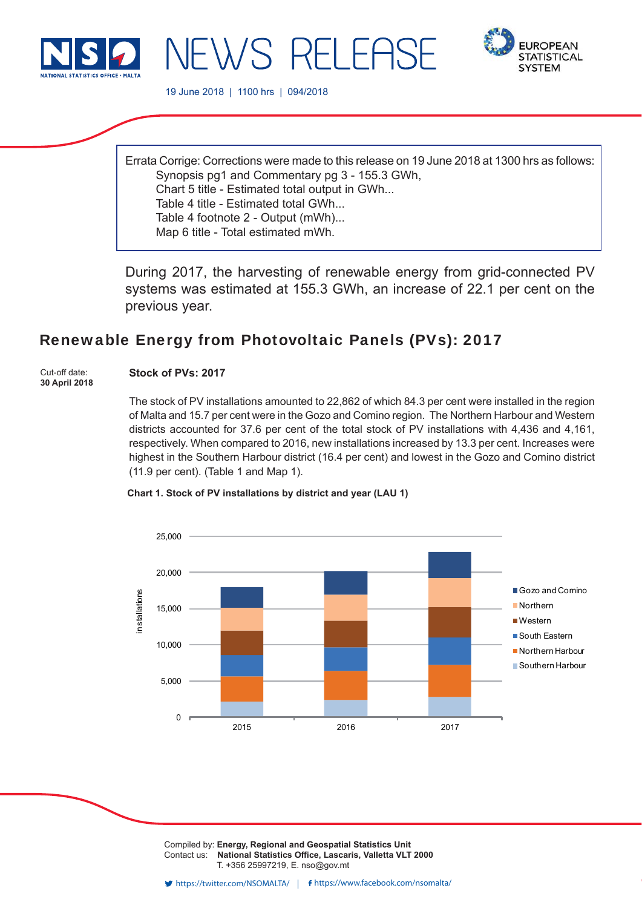



19 June 2018 | 1100 hrs | 094/2018

NEWS RELEAS

Errata Corrige: Corrections were made to this release on 19 June 2018 at 1300 hrs as follows: Synopsis pg1 and Commentary pg 3 - 155.3 GWh, Chart 5 title - Estimated total output in GWh... Table 4 title - Estimated total GWh... Table 4 footnote 2 - Output (mWh)... Map 6 title - Total estimated mWh.

During 2017, the harvesting of renewable energy from grid-connected PV systems was estimated at 155.3 GWh, an increase of 22.1 per cent on the previous year.

# Renewable Energy from Photovoltaic Panels (PVs): 2017

Cut-off date: **30 April 2018**

# **Stock of PVs: 2017**

The stock of PV installations amounted to 22,862 of which 84.3 per cent were installed in the region of Malta and 15.7 per cent were in the Gozo and Comino region. The Northern Harbour and Western districts accounted for 37.6 per cent of the total stock of PV installations with 4,436 and 4,161, respectively. When compared to 2016, new installations increased by 13.3 per cent. Increases were highest in the Southern Harbour district (16.4 per cent) and lowest in the Gozo and Comino district (11.9 per cent). (Table 1 and Map 1).

## **Chart 1. Stock of PV installations by district and year (LAU 1)**



Compiled by: **Energy, Regional and Geospatial Statistics Unit** Contact us: National Statistics Office, Lascaris, Valletta VLT 2000 T. +356 25997219, E. nso@gov.mt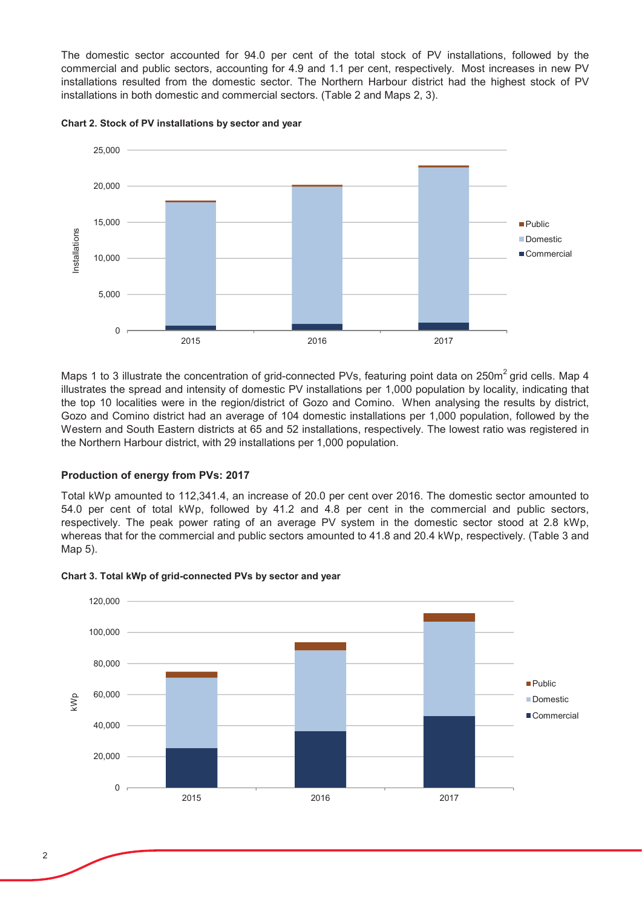The domestic sector accounted for 94.0 per cent of the total stock of PV installations, followed by the commercial and public sectors, accounting for 4.9 and 1.1 per cent, respectively. Most increases in new PV installations resulted from the domestic sector. The Northern Harbour district had the highest stock of PV installations in both domestic and commercial sectors. (Table 2 and Maps 2, 3).



Chart 2. Stock of PV installations by sector and year

Maps 1 to 3 illustrate the concentration of grid-connected PVs, featuring point data on 250m<sup>2</sup> grid cells. Map 4 illustrates the spread and intensity of domestic PV installations per 1,000 population by locality, indicating that the top 10 localities were in the region/district of Gozo and Comino. When analysing the results by district, Gozo and Comino district had an average of 104 domestic installations per 1,000 population, followed by the Western and South Eastern districts at 65 and 52 installations, respectively. The lowest ratio was registered in the Northern Harbour district, with 29 installations per 1,000 population.

# **Production of energy from PVs: 2017**

Total kWp amounted to 112,341.4, an increase of 20.0 per cent over 2016. The domestic sector amounted to 54.0 per cent of total kWp, followed by 41.2 and 4.8 per cent in the commercial and public sectors, respectively. The peak power rating of an average PV system in the domestic sector stood at 2.8 kWp, whereas that for the commercial and public sectors amounted to 41.8 and 20.4 kWp, respectively. (Table 3 and Map 5).



Chart 3. Total kWp of grid-connected PVs by sector and year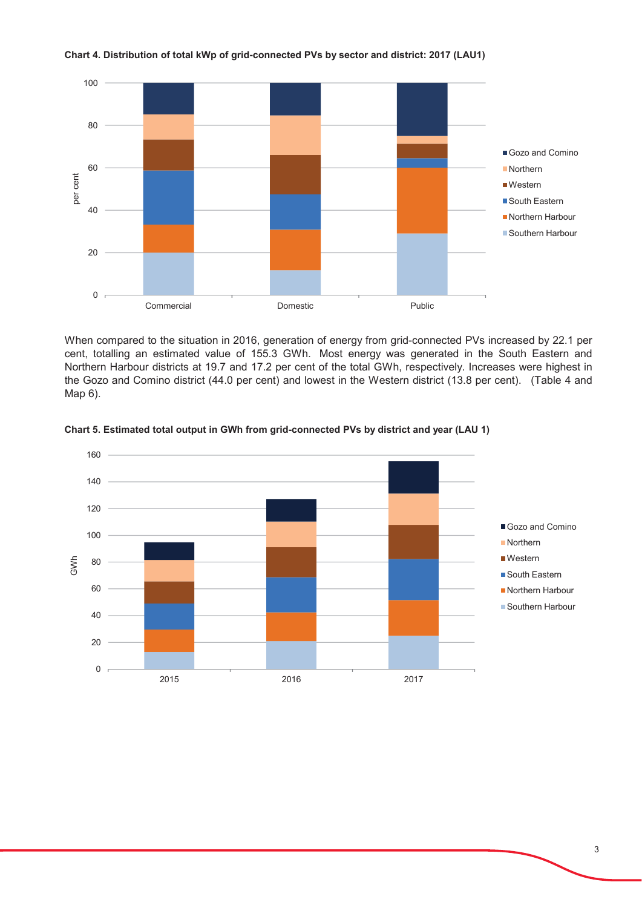

### Chart 4. Distribution of total kWp of grid-connected PVs by sector and district: 2017 (LAU1)

When compared to the situation in 2016, generation of energy from grid-connected PVs increased by 22.1 per cent, totalling an estimated value of 155.3 GWh. Most energy was generated in the South Eastern and Northern Harbour districts at 19.7 and 17.2 per cent of the total GWh, respectively. Increases were highest in the Gozo and Comino district (44.0 per cent) and lowest in the Western district (13.8 per cent). (Table 4 and Map 6).



## Chart 5. Estimated total output in GWh from grid-connected PVs by district and year (LAU 1)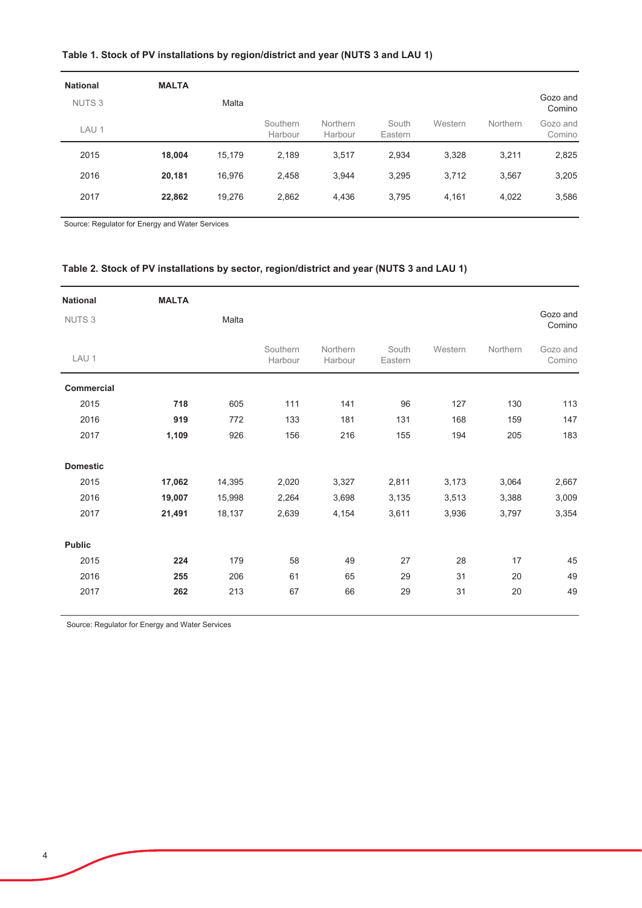# Table 1. Stock of PV installations by region/district and year (NUTS 3 and LAU 1)

| <b>National</b>   | <b>MALTA</b> |        |                     |                     |                  |         |                 |                    |
|-------------------|--------------|--------|---------------------|---------------------|------------------|---------|-----------------|--------------------|
| NUTS <sub>3</sub> |              | Malta  |                     |                     |                  |         |                 | Gozo and<br>Comino |
| LAU <sub>1</sub>  |              |        | Southern<br>Harbour | Northern<br>Harbour | South<br>Eastern | Western | <b>Northern</b> | Gozo and<br>Comino |
| 2015              | 18,004       | 15.179 | 2,189               | 3,517               | 2,934            | 3,328   | 3,211           | 2,825              |
| 2016              | 20,181       | 16,976 | 2,458               | 3,944               | 3,295            | 3,712   | 3,567           | 3,205              |
| 2017              | 22,862       | 19,276 | 2,862               | 4,436               | 3,795            | 4,161   | 4,022           | 3,586              |
|                   |              |        |                     |                     |                  |         |                 |                    |

Source: Regulator for Energy and Water Services

# Table 2. Stock of PV installations by sector, region/district and year (NUTS 3 and LAU 1)

| <b>National</b>   | <b>MALTA</b> |        |                     |                     |                  |         |          |                    |
|-------------------|--------------|--------|---------------------|---------------------|------------------|---------|----------|--------------------|
| <b>NUTS3</b>      |              | Malta  |                     |                     |                  |         |          | Gozo and<br>Comino |
| LAU <sub>1</sub>  |              |        | Southern<br>Harbour | Northern<br>Harbour | South<br>Eastern | Western | Northern | Gozo and<br>Comino |
| <b>Commercial</b> |              |        |                     |                     |                  |         |          |                    |
| 2015              | 718          | 605    | 111                 | 141                 | 96               | 127     | 130      | 113                |
| 2016              | 919          | 772    | 133                 | 181                 | 131              | 168     | 159      | 147                |
| 2017              | 1,109        | 926    | 156                 | 216                 | 155              | 194     | 205      | 183                |
| <b>Domestic</b>   |              |        |                     |                     |                  |         |          |                    |
| 2015              | 17,062       | 14,395 | 2,020               | 3,327               | 2,811            | 3,173   | 3,064    | 2,667              |
| 2016              | 19,007       | 15,998 | 2,264               | 3,698               | 3,135            | 3,513   | 3,388    | 3,009              |
| 2017              | 21,491       | 18,137 | 2,639               | 4,154               | 3,611            | 3,936   | 3,797    | 3,354              |
| <b>Public</b>     |              |        |                     |                     |                  |         |          |                    |
| 2015              | 224          | 179    | 58                  | 49                  | 27               | 28      | 17       | 45                 |
| 2016              | 255          | 206    | 61                  | 65                  | 29               | 31      | 20       | 49                 |
| 2017              | 262          | 213    | 67                  | 66                  | 29               | 31      | 20       | 49                 |

Source: Regulator for Energy and Water Services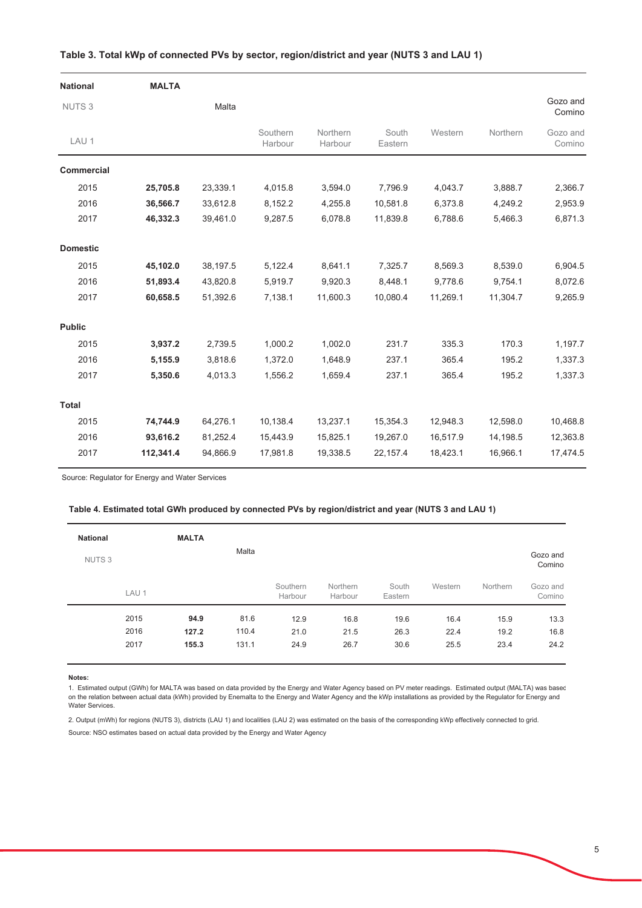| <b>National</b>   | <b>MALTA</b> |          |                     |                     |                  |          |          |                    |
|-------------------|--------------|----------|---------------------|---------------------|------------------|----------|----------|--------------------|
| NUTS <sub>3</sub> |              | Malta    |                     |                     |                  |          |          | Gozo and<br>Comino |
| LAU 1             |              |          | Southern<br>Harbour | Northern<br>Harbour | South<br>Eastern | Western  | Northern | Gozo and<br>Comino |
| <b>Commercial</b> |              |          |                     |                     |                  |          |          |                    |
| 2015              | 25,705.8     | 23,339.1 | 4,015.8             | 3,594.0             | 7,796.9          | 4,043.7  | 3,888.7  | 2,366.7            |
| 2016              | 36,566.7     | 33,612.8 | 8,152.2             | 4,255.8             | 10,581.8         | 6,373.8  | 4,249.2  | 2,953.9            |
| 2017              | 46,332.3     | 39,461.0 | 9,287.5             | 6,078.8             | 11,839.8         | 6,788.6  | 5,466.3  | 6,871.3            |
| <b>Domestic</b>   |              |          |                     |                     |                  |          |          |                    |
| 2015              | 45,102.0     | 38,197.5 | 5,122.4             | 8,641.1             | 7,325.7          | 8,569.3  | 8,539.0  | 6,904.5            |
| 2016              | 51,893.4     | 43,820.8 | 5,919.7             | 9,920.3             | 8,448.1          | 9,778.6  | 9,754.1  | 8,072.6            |
| 2017              | 60,658.5     | 51,392.6 | 7,138.1             | 11,600.3            | 10,080.4         | 11,269.1 | 11,304.7 | 9,265.9            |
| <b>Public</b>     |              |          |                     |                     |                  |          |          |                    |
| 2015              | 3,937.2      | 2,739.5  | 1,000.2             | 1,002.0             | 231.7            | 335.3    | 170.3    | 1,197.7            |
| 2016              | 5,155.9      | 3,818.6  | 1,372.0             | 1,648.9             | 237.1            | 365.4    | 195.2    | 1,337.3            |
| 2017              | 5,350.6      | 4,013.3  | 1,556.2             | 1,659.4             | 237.1            | 365.4    | 195.2    | 1,337.3            |
| <b>Total</b>      |              |          |                     |                     |                  |          |          |                    |
| 2015              | 74,744.9     | 64,276.1 | 10,138.4            | 13,237.1            | 15,354.3         | 12,948.3 | 12,598.0 | 10,468.8           |
| 2016              | 93,616.2     | 81,252.4 | 15,443.9            | 15,825.1            | 19,267.0         | 16,517.9 | 14,198.5 | 12,363.8           |
| 2017              | 112,341.4    | 94,866.9 | 17,981.8            | 19,338.5            | 22,157.4         | 18,423.1 | 16,966.1 | 17,474.5           |

#### Table 3. Total kWp of connected PVs by sector, region/district and year (NUTS 3 and LAU 1)

Source: Regulator for Energy and Water Services

### Table 4. Estimated total GWh produced by connected PVs by region/district and year (NUTS 3 and LAU 1)

| <b>National</b>   |                  | <b>MALTA</b> |       |                     |                     |                  |         |          |                    |
|-------------------|------------------|--------------|-------|---------------------|---------------------|------------------|---------|----------|--------------------|
| NUTS <sub>3</sub> |                  |              | Malta |                     |                     |                  |         |          | Gozo and<br>Comino |
|                   | LAU <sub>1</sub> |              |       | Southern<br>Harbour | Northern<br>Harbour | South<br>Eastern | Western | Northern | Gozo and<br>Comino |
|                   | 2015             | 94.9         | 81.6  | 12.9                | 16.8                | 19.6             | 16.4    | 15.9     | 13.3               |
|                   | 2016             | 127.2        | 110.4 | 21.0                | 21.5                | 26.3             | 22.4    | 19.2     | 16.8               |
|                   | 2017             | 155.3        | 131.1 | 24.9                | 26.7                | 30.6             | 25.5    | 23.4     | 24.2               |

Notes:

1. Estimated output (GWh) for MALTA was based on data provided by the Energy and Water Agency based on PV meter readings. Estimated output (MALTA) was basec on the relation between actual data (kWh) provided by Enemalta to the Energy and Water Agency and the kWp installations as provided by the Regulator for Energy and Water Services.

2. Output (mWh) for regions (NUTS 3), districts (LAU 1) and localities (LAU 2) was estimated on the basis of the corresponding kWp effectively connected to grid.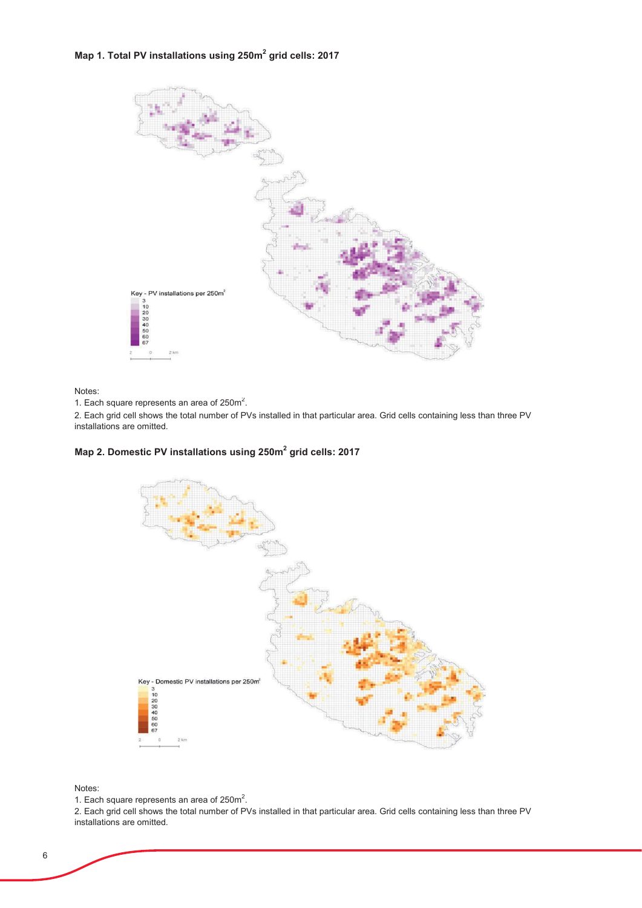# Map 1. Total PV installations using 250m<sup>2</sup> grid cells: 2017



Notes:

1. Each square represents an area of 250m<sup>2</sup>.

2. Each grid cell shows the total number of PVs installed in that particular area. Grid cells containing less than three PV installations are omitted.

# Map 2. Domestic PV installations using 250m<sup>2</sup> grid cells: 2017



Notes:

1. Each square represents an area of 250m<sup>2</sup>.

2. Each grid cell shows the total number of PVs installed in that particular area. Grid cells containing less than three PV installations are omitted.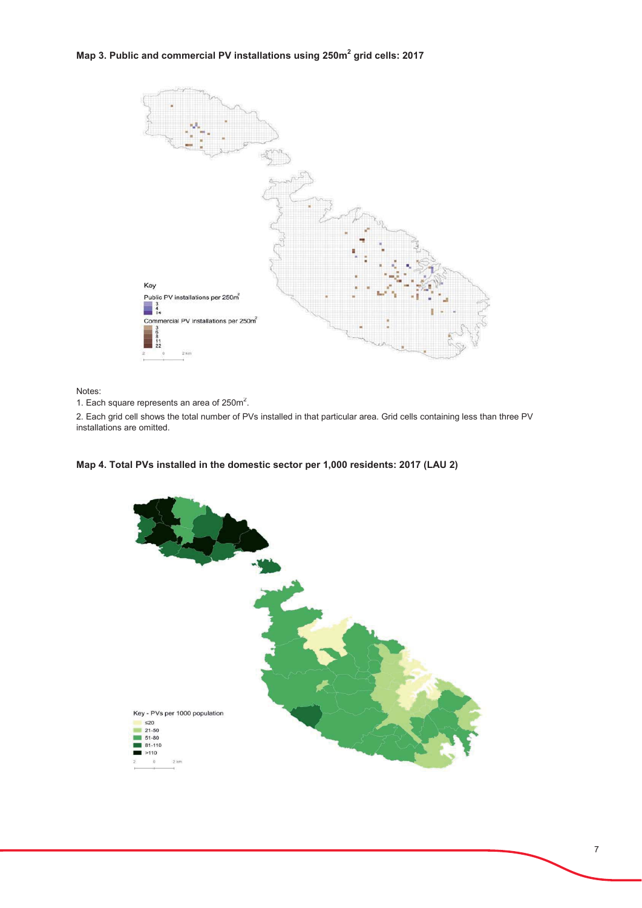# Map 3. Public and commercial PV installations using 250m<sup>2</sup> grid cells: 2017



Notes:

1. Each square represents an area of 250m<sup>2</sup>.

2. Each grid cell shows the total number of PVs installed in that particular area. Grid cells containing less than three PV installations are omitted.



# Map 4. Total PVs installed in the domestic sector per 1,000 residents: 2017 (LAU 2)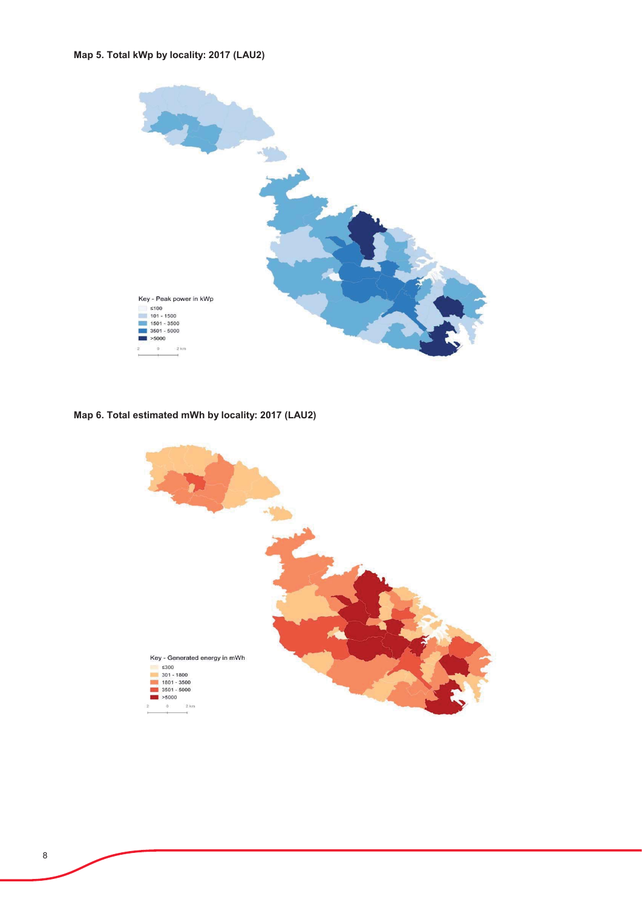# Map 5. Total kWp by locality: 2017 (LAU2)



Map 6. Total estimated mWh by locality: 2017 (LAU2)

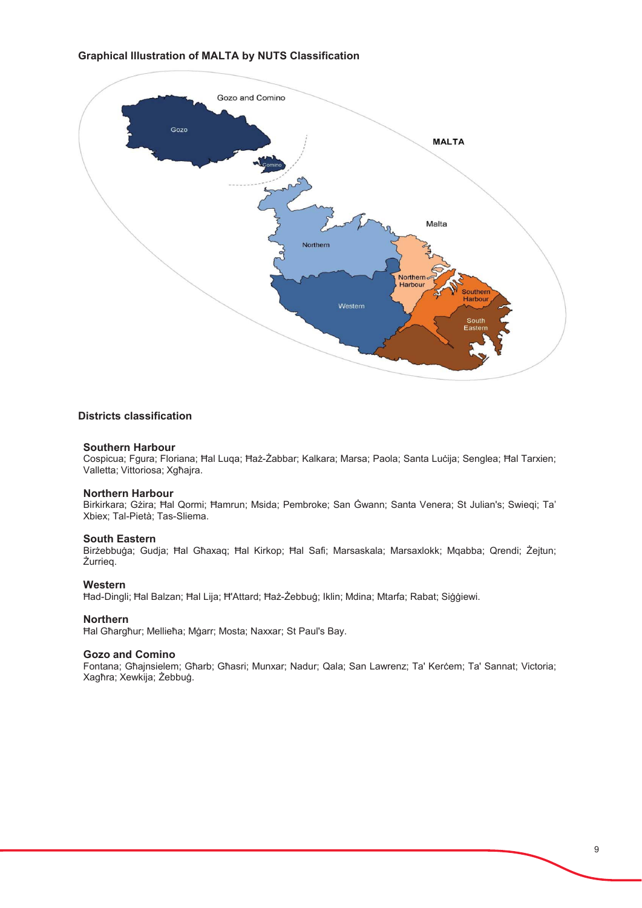# **Graphical Illustration of MALTA by NUTS Classification**



### **Districts classification**

#### **Southern Harbour**

Cospicua; Fgura; Floriana; Hal Luqa; Haż-Żabbar; Kalkara; Marsa; Paola; Santa Luċija; Senglea; Hal Tarxien; Valletta; Vittoriosa; Xgħajra.

#### **Northern Harbour**

Birkirkara; Gżira; Ħal Qormi; Ħamrun; Msida; Pembroke; San Ġwann; Santa Venera; St Julian's; Swiegi; Ta' Xbiex; Tal-Pietà; Tas-Sliema.

#### **South Eastern**

Birżebbuga: Gudia: Ħal Għaxag: Ħal Kirkop: Ħal Safi: Marsaskala: Marsaxlokk: Mgabba: Qrendi: Żeitun: Żurrieg.

#### Western

Had-Dingli: Hal Balzan: Hal Lija: H'Attard: Haz-Żebbug: Iklin: Mdina: Mtarfa: Rabat: Siggiewi.

#### **Northern**

Hal Għargħur; Mellieħa; Mġarr; Mosta; Naxxar; St Paul's Bay.

## **Gozo and Comino**

Fontana; Għajnsielem; Għarb; Għasri; Munxar; Nadur; Qala; San Lawrenz; Ta' Kerċem; Ta' Sannat; Victoria; Xagħra; Xewkija; Żebbuġ.